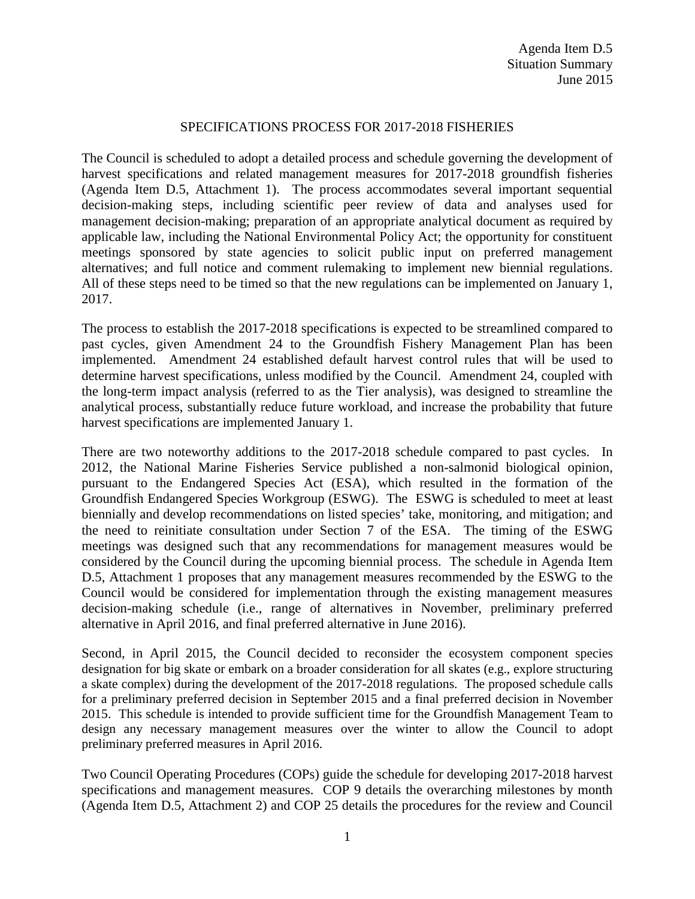#### SPECIFICATIONS PROCESS FOR 2017-2018 FISHERIES

The Council is scheduled to adopt a detailed process and schedule governing the development of harvest specifications and related management measures for 2017-2018 groundfish fisheries (Agenda Item D.5, Attachment 1). The process accommodates several important sequential decision-making steps, including scientific peer review of data and analyses used for management decision-making; preparation of an appropriate analytical document as required by applicable law, including the National Environmental Policy Act; the opportunity for constituent meetings sponsored by state agencies to solicit public input on preferred management alternatives; and full notice and comment rulemaking to implement new biennial regulations. All of these steps need to be timed so that the new regulations can be implemented on January 1, 2017.

The process to establish the 2017-2018 specifications is expected to be streamlined compared to past cycles, given Amendment 24 to the Groundfish Fishery Management Plan has been implemented. Amendment 24 established default harvest control rules that will be used to determine harvest specifications, unless modified by the Council. Amendment 24, coupled with the long-term impact analysis (referred to as the Tier analysis), was designed to streamline the analytical process, substantially reduce future workload, and increase the probability that future harvest specifications are implemented January 1.

There are two noteworthy additions to the 2017-2018 schedule compared to past cycles. In 2012, the National Marine Fisheries Service published a non-salmonid biological opinion, pursuant to the Endangered Species Act (ESA), which resulted in the formation of the Groundfish Endangered Species Workgroup (ESWG). The ESWG is scheduled to meet at least biennially and develop recommendations on listed species' take, monitoring, and mitigation; and the need to reinitiate consultation under Section 7 of the ESA. The timing of the ESWG meetings was designed such that any recommendations for management measures would be considered by the Council during the upcoming biennial process. The schedule in Agenda Item D.5, Attachment 1 proposes that any management measures recommended by the ESWG to the Council would be considered for implementation through the existing management measures decision-making schedule (i.e., range of alternatives in November, preliminary preferred alternative in April 2016, and final preferred alternative in June 2016).

Second, in April 2015, the Council decided to reconsider the ecosystem component species designation for big skate or embark on a broader consideration for all skates (e.g., explore structuring a skate complex) during the development of the 2017-2018 regulations. The proposed schedule calls for a preliminary preferred decision in September 2015 and a final preferred decision in November 2015. This schedule is intended to provide sufficient time for the Groundfish Management Team to design any necessary management measures over the winter to allow the Council to adopt preliminary preferred measures in April 2016.

Two Council Operating Procedures (COPs) guide the schedule for developing 2017-2018 harvest specifications and management measures. COP 9 details the overarching milestones by month (Agenda Item D.5, Attachment 2) and COP 25 details the procedures for the review and Council